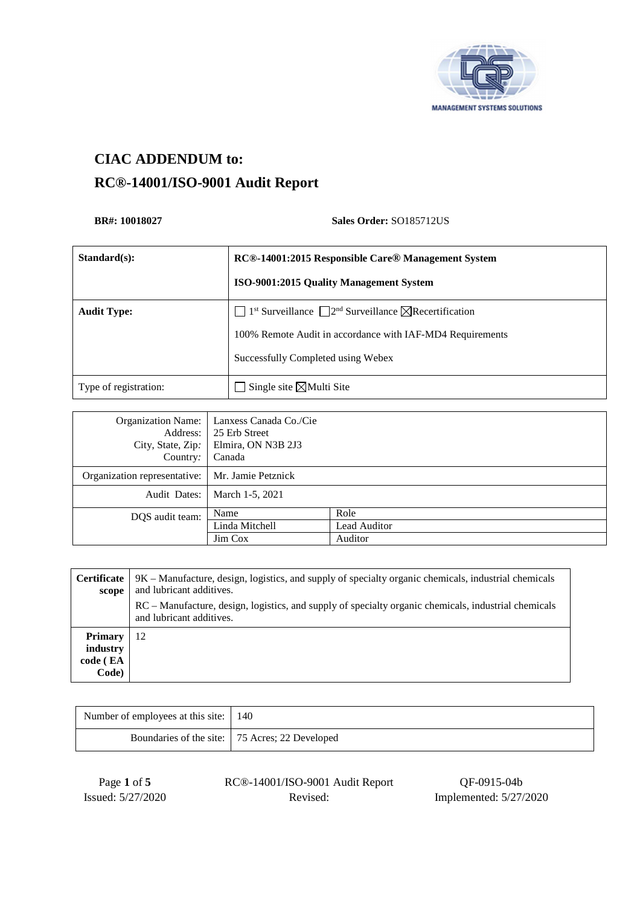

# **CIAC ADDENDUM to: RC®-14001/ISO-9001 Audit Report**

#### **BR#: 10018027** Sales Order: **SO185712US**

| $Standard(s)$ :       | RC®-14001:2015 Responsible Care® Management System                                                   |
|-----------------------|------------------------------------------------------------------------------------------------------|
|                       | <b>ISO-9001:2015 Quality Management System</b>                                                       |
| <b>Audit Type:</b>    | $1st$ Surveillance $\Box$ 2 <sup>nd</sup> Surveillance $\boxtimes$ Recertification<br>$\blacksquare$ |
|                       | 100% Remote Audit in accordance with IAF-MD4 Requirements                                            |
|                       | Successfully Completed using Webex                                                                   |
| Type of registration: | Single site $\boxtimes$ Multi Site                                                                   |

| <b>Organization Name:</b><br>Address:<br>City, State, Zip:<br>Country: | Lanxess Canada Co./Cie<br>25 Erb Street<br>Elmira, ON N3B 2J3<br>Canada |              |
|------------------------------------------------------------------------|-------------------------------------------------------------------------|--------------|
| Organization representative:                                           | Mr. Jamie Petznick                                                      |              |
| Audit Dates:                                                           | March 1-5, 2021                                                         |              |
| DQS audit team:                                                        | Name                                                                    | Role         |
|                                                                        | Linda Mitchell                                                          | Lead Auditor |
|                                                                        | Jim Cox                                                                 | Auditor      |

| <b>Certificate</b><br>scope                     | 9K – Manufacture, design, logistics, and supply of specialty organic chemicals, industrial chemicals<br>and lubricant additives. |  |
|-------------------------------------------------|----------------------------------------------------------------------------------------------------------------------------------|--|
|                                                 | RC – Manufacture, design, logistics, and supply of specialty organic chemicals, industrial chemicals<br>and lubricant additives. |  |
| <b>Primary</b><br>industry<br>code (EA<br>Code) | 12                                                                                                                               |  |

| Number of employees at this site:   140 |                                                  |
|-----------------------------------------|--------------------------------------------------|
|                                         | Boundaries of the site:   75 Acres; 22 Developed |

| Page 1 of 5       |  |
|-------------------|--|
| Issued: 5/27/2020 |  |

Page **1** of **5** RC®-14001/ISO-9001 Audit Report QF-0915-04b

Revised: Implemented: 5/27/2020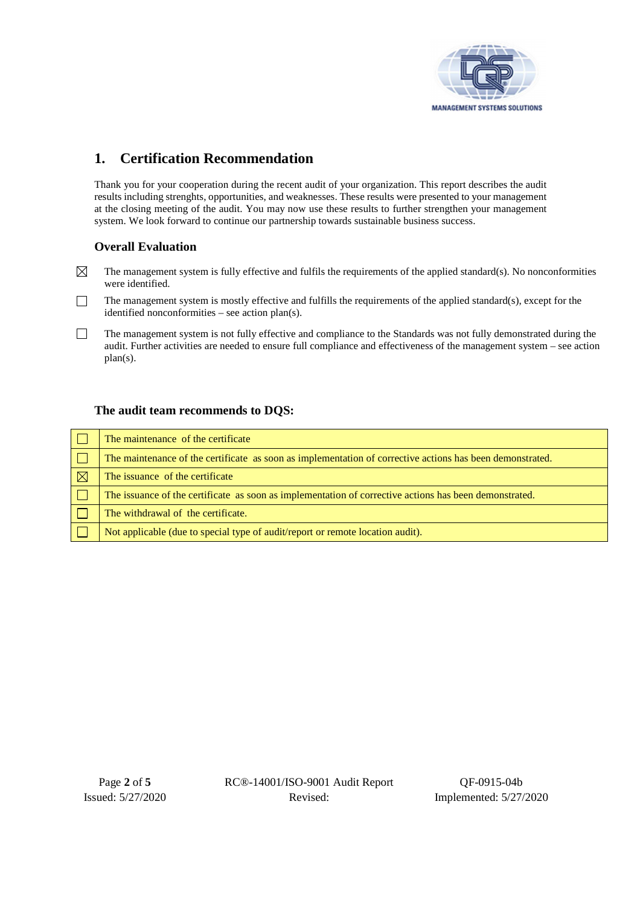

## **1. Certification Recommendation**

Thank you for your cooperation during the recent audit of your organization. This report describes the audit results including strenghts, opportunities, and weaknesses. These results were presented to your management at the closing meeting of the audit. You may now use these results to further strengthen your management system. We look forward to continue our partnership towards sustainable business success.

#### **Overall Evaluation**

- $\boxtimes$ The management system is fully effective and fulfils the requirements of the applied standard(s). No nonconformities were identified.
- $\Box$ The management system is mostly effective and fulfills the requirements of the applied standard(s), except for the identified nonconformities – see action plan(s).
- $\Box$ The management system is not fully effective and compliance to the Standards was not fully demonstrated during the audit. Further activities are needed to ensure full compliance and effectiveness of the management system – see action plan(s).

#### **The audit team recommends to DQS:**

|   | The maintenance of the certificate                                                                        |
|---|-----------------------------------------------------------------------------------------------------------|
|   | The maintenance of the certificate as soon as implementation of corrective actions has been demonstrated. |
| K | The issuance of the certificate                                                                           |
|   | The issuance of the certificate as soon as implementation of corrective actions has been demonstrated.    |
|   | The withdrawal of the certificate.                                                                        |
|   | Not applicable (due to special type of audit/report or remote location audit).                            |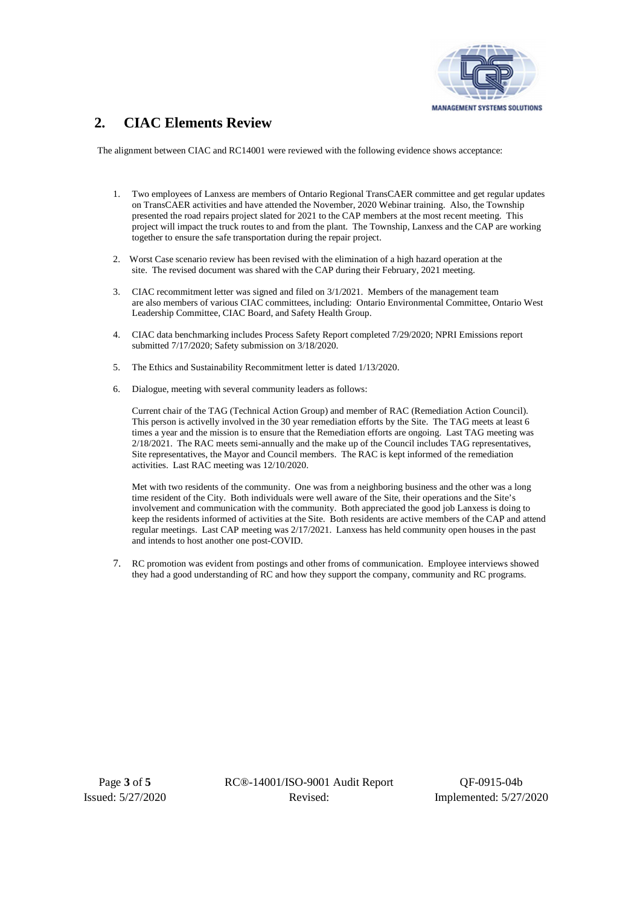

### **2. CIAC Elements Review**

The alignment between CIAC and RC14001 were reviewed with the following evidence shows acceptance:

- 1. Two employees of Lanxess are members of Ontario Regional TransCAER committee and get regular updates on TransCAER activities and have attended the November, 2020 Webinar training. Also, the Township presented the road repairs project slated for 2021 to the CAP members at the most recent meeting. This project will impact the truck routes to and from the plant. The Township, Lanxess and the CAP are working together to ensure the safe transportation during the repair project.
- 2. Worst Case scenario review has been revised with the elimination of a high hazard operation at the site. The revised document was shared with the CAP during their February, 2021 meeting.
- 3. CIAC recommitment letter was signed and filed on 3/1/2021. Members of the management team are also members of various CIAC committees, including: Ontario Environmental Committee, Ontario West Leadership Committee, CIAC Board, and Safety Health Group.
- 4. CIAC data benchmarking includes Process Safety Report completed 7/29/2020; NPRI Emissions report submitted 7/17/2020; Safety submission on 3/18/2020.
- 5. The Ethics and Sustainability Recommitment letter is dated 1/13/2020.
- 6. Dialogue, meeting with several community leaders as follows:

Current chair of the TAG (Technical Action Group) and member of RAC (Remediation Action Council). This person is activelly involved in the 30 year remediation efforts by the Site. The TAG meets at least 6 times a year and the mission is to ensure that the Remediation efforts are ongoing. Last TAG meeting was 2/18/2021. The RAC meets semi-annually and the make up of the Council includes TAG representatives, Site representatives, the Mayor and Council members. The RAC is kept informed of the remediation activities. Last RAC meeting was 12/10/2020.

Met with two residents of the community. One was from a neighboring business and the other was a long time resident of the City. Both individuals were well aware of the Site, their operations and the Site's involvement and communication with the community. Both appreciated the good job Lanxess is doing to keep the residents informed of activities at the Site. Both residents are active members of the CAP and attend regular meetings. Last CAP meeting was 2/17/2021. Lanxess has held community open houses in the past and intends to host another one post-COVID.

7. RC promotion was evident from postings and other froms of communication. Employee interviews showed they had a good understanding of RC and how they support the company, community and RC programs.

Page **3** of **5** RC®-14001/ISO-9001 Audit Report QF-0915-04b Issued: 5/27/2020 Revised: Implemented: 5/27/2020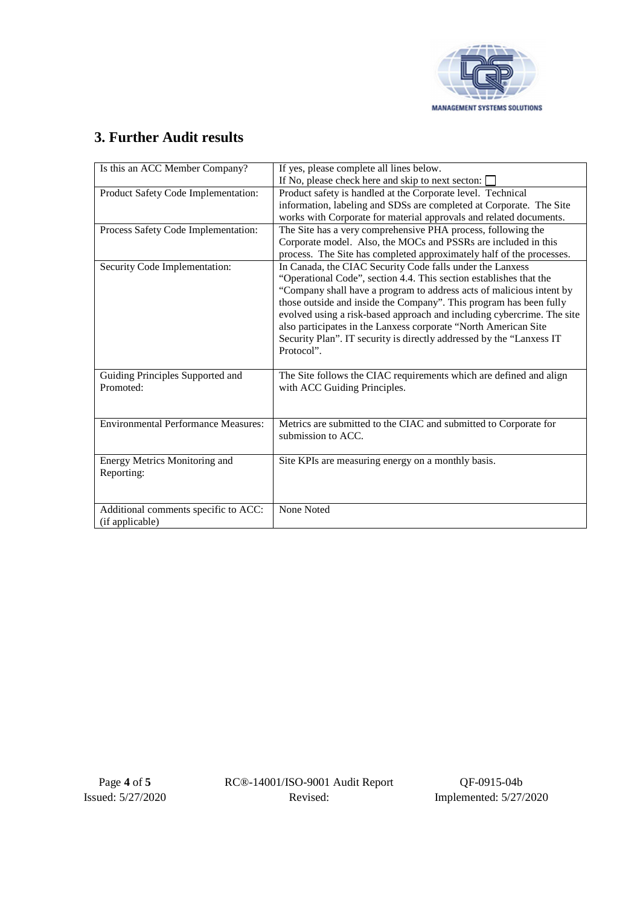

## **3. Further Audit results**

| Is this an ACC Member Company?             | If yes, please complete all lines below.<br>If No, please check here and skip to next secton: |
|--------------------------------------------|-----------------------------------------------------------------------------------------------|
|                                            |                                                                                               |
| Product Safety Code Implementation:        | Product safety is handled at the Corporate level. Technical                                   |
|                                            | information, labeling and SDSs are completed at Corporate. The Site                           |
|                                            | works with Corporate for material approvals and related documents.                            |
| Process Safety Code Implementation:        | The Site has a very comprehensive PHA process, following the                                  |
|                                            | Corporate model. Also, the MOCs and PSSRs are included in this                                |
|                                            | process. The Site has completed approximately half of the processes.                          |
| Security Code Implementation:              | In Canada, the CIAC Security Code falls under the Lanxess                                     |
|                                            | "Operational Code", section 4.4. This section establishes that the                            |
|                                            | "Company shall have a program to address acts of malicious intent by                          |
|                                            | those outside and inside the Company". This program has been fully                            |
|                                            | evolved using a risk-based approach and including cybercrime. The site                        |
|                                            | also participates in the Lanxess corporate "North American Site                               |
|                                            | Security Plan". IT security is directly addressed by the "Lanxess IT                          |
|                                            | Protocol".                                                                                    |
|                                            |                                                                                               |
|                                            |                                                                                               |
| Guiding Principles Supported and           | The Site follows the CIAC requirements which are defined and align                            |
| Promoted:                                  | with ACC Guiding Principles.                                                                  |
|                                            |                                                                                               |
|                                            |                                                                                               |
| <b>Environmental Performance Measures:</b> | Metrics are submitted to the CIAC and submitted to Corporate for                              |
|                                            | submission to ACC.                                                                            |
|                                            |                                                                                               |
| Energy Metrics Monitoring and              | Site KPIs are measuring energy on a monthly basis.                                            |
| Reporting:                                 |                                                                                               |
|                                            |                                                                                               |
|                                            |                                                                                               |
| Additional comments specific to ACC:       | None Noted                                                                                    |
|                                            |                                                                                               |
| (if applicable)                            |                                                                                               |